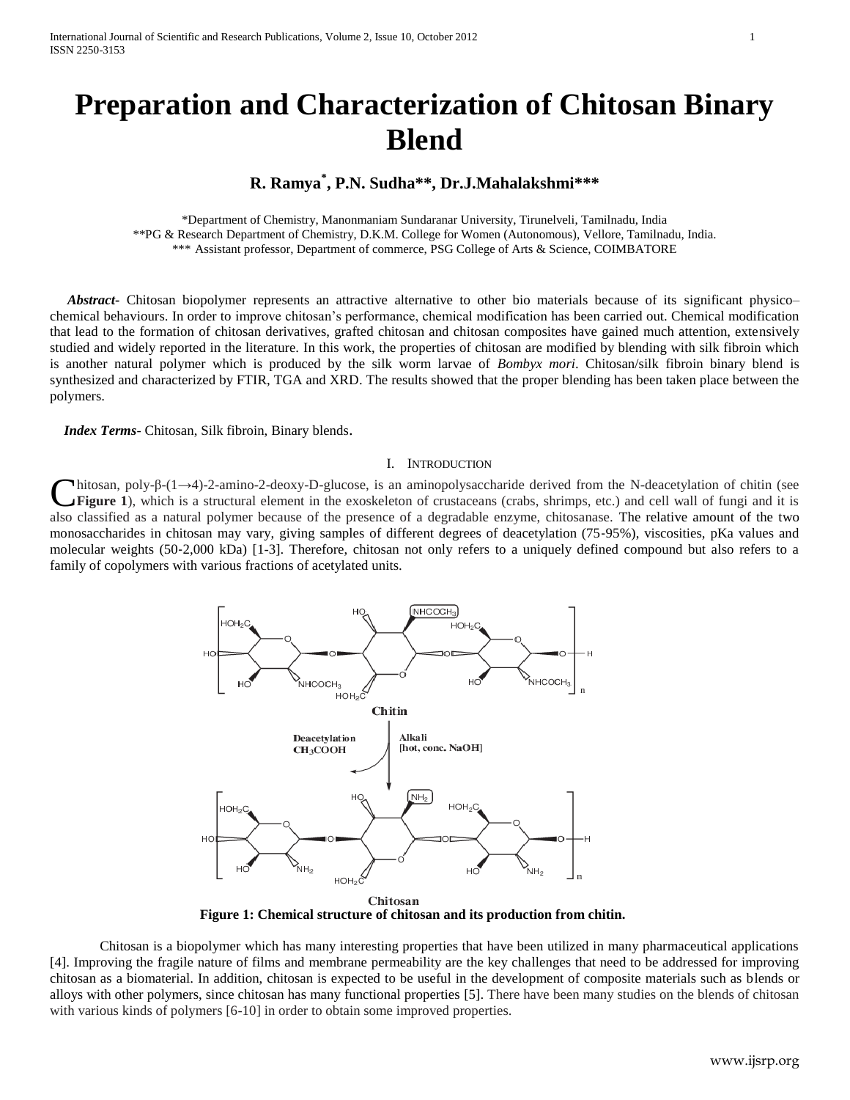# **Preparation and Characterization of Chitosan Binary Blend**

# **R. Ramya\* , P.N. Sudha\*\*, Dr.J.Mahalakshmi\*\*\***

\*Department of Chemistry, Manonmaniam Sundaranar University, Tirunelveli, Tamilnadu, India \*\*PG & Research Department of Chemistry, D.K.M. College for Women (Autonomous), Vellore, Tamilnadu, India. \*\*\* Assistant professor, Department of commerce, PSG College of Arts & Science, COIMBATORE

 *Abstract***-** Chitosan biopolymer represents an attractive alternative to other bio materials because of its significant physico– chemical behaviours. In order to improve chitosan's performance, chemical modification has been carried out. Chemical modification that lead to the formation of chitosan derivatives, grafted chitosan and chitosan composites have gained much attention, extensively studied and widely reported in the literature. In this work, the properties of chitosan are modified by blending with silk fibroin which is another natural polymer which is produced by the silk worm larvae of *Bombyx mori*. Chitosan/silk fibroin binary blend is synthesized and characterized by FTIR, TGA and XRD. The results showed that the proper blending has been taken place between the polymers.

 *Index Terms*- Chitosan, Silk fibroin, Binary blends.

#### I. INTRODUCTION

 $h$ itosan, poly-β-(1→4)-2-amino-2-deoxy-D-glucose, is an aminopolysaccharide derived from the N-deacetylation of chitin (see **Figure 1**), which is a structural element in the exoskeleton of crustaceans (crabs, shrimps, etc.) and cell wall of fungi and it is also classified as a natural polymer because of the presence of a degradable enzyme, chitosanase. The relative amount of the two monosaccharides in chitosan may vary, giving samples of different degrees of deacetylation (75‐95%), viscosities, pKa values and molecular weights (50‐2,000 kDa) [1-3]. Therefore, chitosan not only refers to a uniquely defined compound but also refers to a family of copolymers with various fractions of acetylated units. C



Chitosan **Figure 1: Chemical structure of chitosan and its production from chitin.**

Chitosan is a biopolymer which has many interesting properties that have been utilized in many pharmaceutical applications [4]. Improving the fragile nature of films and membrane permeability are the key challenges that need to be addressed for improving chitosan as a biomaterial. In addition, chitosan is expected to be useful in the development of composite materials such as blends or alloys with other polymers, since chitosan has many functional properties [5]. There have been many studies on the blends of chitosan with various kinds of polymers  $[6-10]$  in order to obtain some improved properties.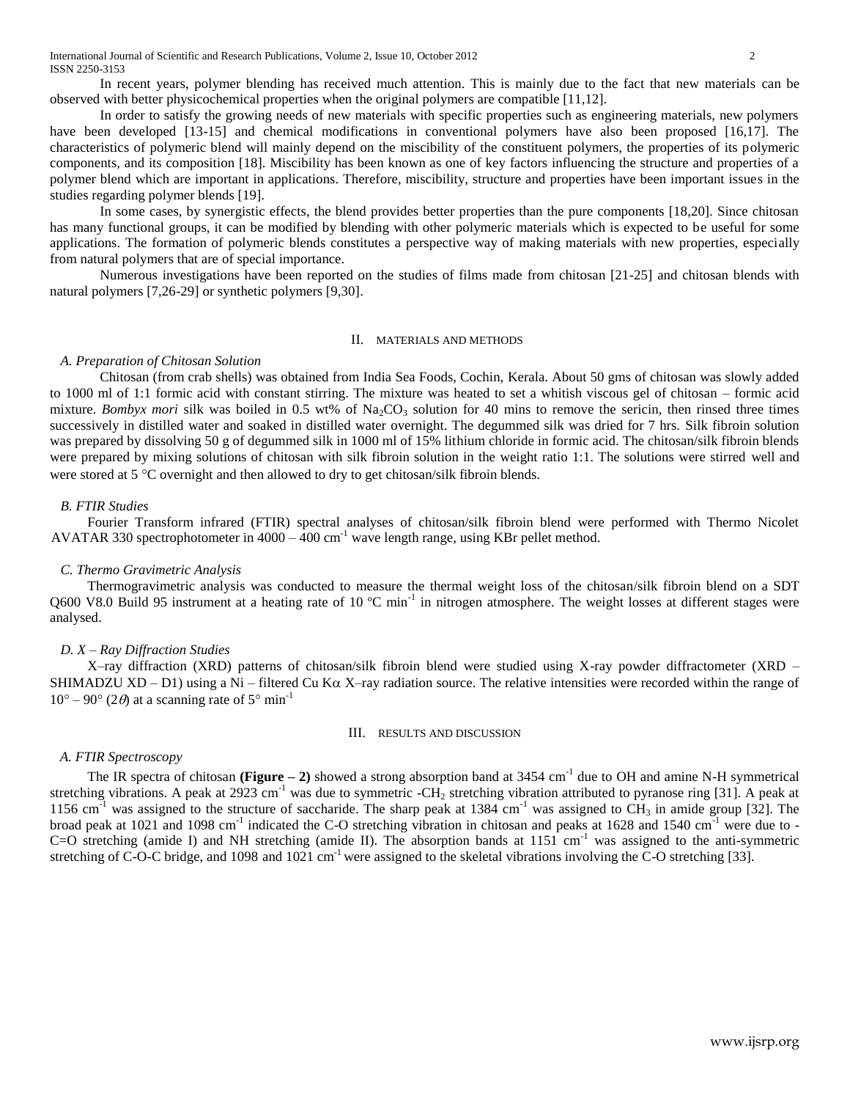In recent years, polymer blending has received much attention. This is mainly due to the fact that new materials can be observed with better physicochemical properties when the original polymers are compatible [11,12].

In order to satisfy the growing needs of new materials with specific properties such as engineering materials, new polymers have been developed [13-15] and chemical modifications in conventional polymers have also been proposed [16,17]. The characteristics of polymeric blend will mainly depend on the miscibility of the constituent polymers, the properties of its polymeric components, and its composition [18]. Miscibility has been known as one of key factors influencing the structure and properties of a polymer blend which are important in applications. Therefore, miscibility, structure and properties have been important issues in the studies regarding polymer blends [19].

In some cases, by synergistic effects, the blend provides better properties than the pure components [18,20]. Since chitosan has many functional groups, it can be modified by blending with other polymeric materials which is expected to be useful for some applications. The formation of polymeric blends constitutes a perspective way of making materials with new properties, especially from natural polymers that are of special importance.

Numerous investigations have been reported on the studies of films made from chitosan [21-25] and chitosan blends with natural polymers [7,26-29] or synthetic polymers [9,30].

#### II. MATERIALS AND METHODS

#### *A. Preparation of Chitosan Solution*

Chitosan (from crab shells) was obtained from India Sea Foods, Cochin, Kerala. About 50 gms of chitosan was slowly added to 1000 ml of 1:1 formic acid with constant stirring. The mixture was heated to set a whitish viscous gel of chitosan – formic acid mixture. *Bombyx mori* silk was boiled in 0.5 wt% of Na<sub>2</sub>CO<sub>3</sub> solution for 40 mins to remove the sericin, then rinsed three times successively in distilled water and soaked in distilled water overnight. The degummed silk was dried for 7 hrs. Silk fibroin solution was prepared by dissolving 50 g of degummed silk in 1000 ml of 15% lithium chloride in formic acid. The chitosan/silk fibroin blends were prepared by mixing solutions of chitosan with silk fibroin solution in the weight ratio 1:1. The solutions were stirred well and were stored at 5 °C overnight and then allowed to dry to get chitosan/silk fibroin blends.

#### *B. FTIR Studies*

Fourier Transform infrared (FTIR) spectral analyses of chitosan/silk fibroin blend were performed with Thermo Nicolet AVATAR 330 spectrophotometer in  $4000 - 400$  cm<sup>-1</sup> wave length range, using KBr pellet method.

### *C. Thermo Gravimetric Analysis*

Thermogravimetric analysis was conducted to measure the thermal weight loss of the chitosan/silk fibroin blend on a SDT Q600 V8.0 Build 95 instrument at a heating rate of 10  $^{\circ}$ C min<sup>-1</sup> in nitrogen atmosphere. The weight losses at different stages were analysed.

#### *D. X – Ray Diffraction Studies*

X–ray diffraction (XRD) patterns of chitosan/silk fibroin blend were studied using X-ray powder diffractometer (XRD – SHIMADZU XD – D1) using a Ni – filtered Cu K $\alpha$  X–ray radiation source. The relative intensities were recorded within the range of  $10^{\circ} - 90^{\circ}$  (2 $\theta$ ) at a scanning rate of 5° min<sup>-1</sup>

#### III. RESULTS AND DISCUSSION

## *A. FTIR Spectroscopy*

The IR spectra of chitosan ( $Figure - 2$ ) showed a strong absorption band at 3454 cm<sup>-1</sup> due to OH and amine N-H symmetrical stretching vibrations. A peak at 2923 cm<sup>-1</sup> was due to symmetric -CH<sub>2</sub> stretching vibration attributed to pyranose ring [31]. A peak at 1156 cm<sup>-1</sup> was assigned to the structure of saccharide. The sharp peak at 1384 cm<sup>-1</sup> was assigned to  $\overline{CH_3}$  in amide group [32]. The broad peak at 1021 and 1098 cm<sup>-1</sup> indicated the C-O stretching vibration in chitosan and peaks at 1628 and 1540 cm<sup>-1</sup> were due to -C=O stretching (amide I) and NH stretching (amide II). The absorption bands at  $1151 \text{ cm}^{-1}$  was assigned to the anti-symmetric stretching of C-O-C bridge, and 1098 and 1021 cm<sup>-1</sup> were assigned to the skeletal vibrations involving the C-O stretching [33].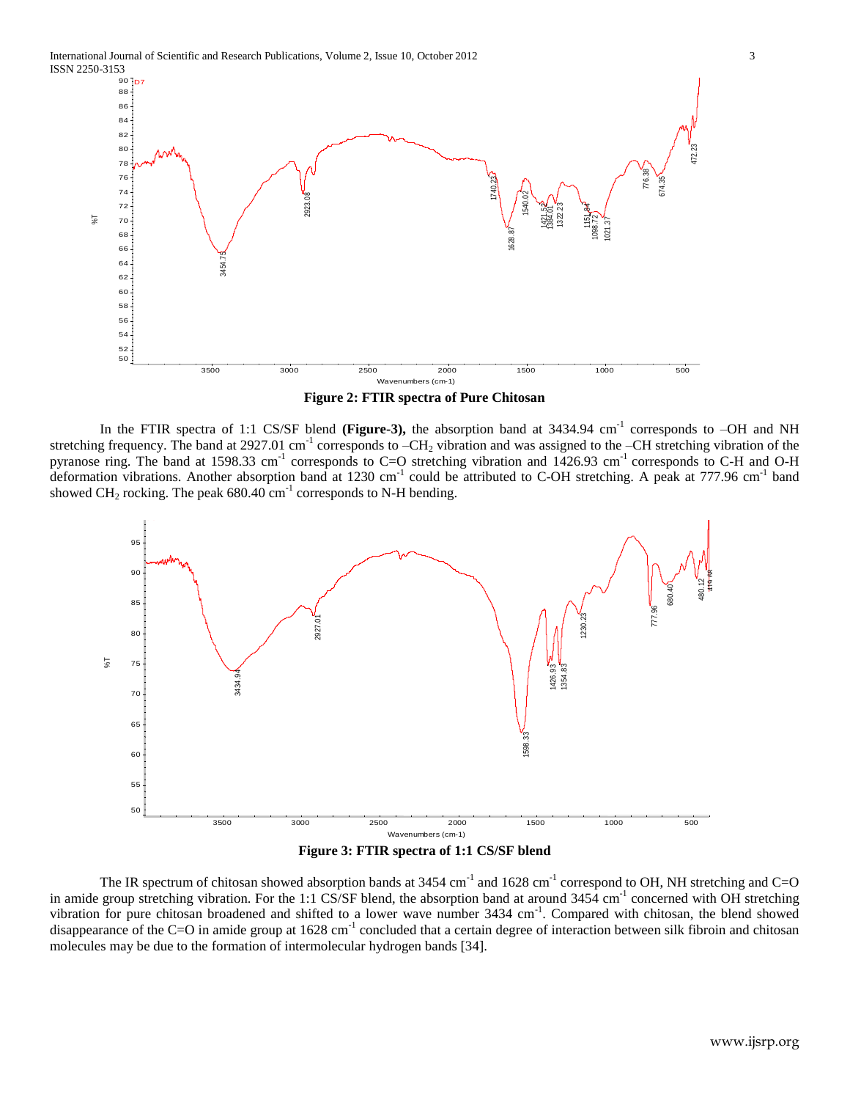International Journal of Scientific and Research Publications, Volume 2, Issue 10, October 2012 3 ISSN 2250-3153





In the FTIR spectra of 1:1 CS/SF blend (Figure-3), the absorption band at 3434.94 cm<sup>-1</sup> corresponds to  $-OH$  and NH stretching frequency. The band at 2927.01 cm<sup>-1</sup> corresponds to  $-CH_2$  vibration and was assigned to the  $-CH$  stretching vibration of the pyranose ring. The band at 1598.33 cm<sup>-1</sup> corresponds to C=O stretching vibration and  $1426.93$  cm<sup>-1</sup> corresponds to C-H and O-H deformation vibrations. Another absorption band at 1230 cm<sup>-1</sup> could be attributed to C-OH stretching. A peak at 777.96 cm<sup>-1</sup> band showed CH<sub>2</sub> rocking. The peak  $680.40 \text{ cm}^{-1}$  corresponds to N-H bending.





The IR spectrum of chitosan showed absorption bands at  $3454 \text{ cm}^{-1}$  and  $1628 \text{ cm}^{-1}$  correspond to OH, NH stretching and C=O in amide group stretching vibration. For the 1:1 CS/SF blend, the absorption band at around  $3454 \text{ cm}^{-1}$  concerned with OH stretching vibration for pure chitosan broadened and shifted to a lower wave number 3434 cm<sup>-1</sup>. Compared with chitosan, the blend showed disappearance of the C=O in amide group at  $1628 \text{ cm}^{-1}$  concluded that a certain degree of interaction between silk fibroin and chitosan molecules may be due to the formation of intermolecular hydrogen bands [34].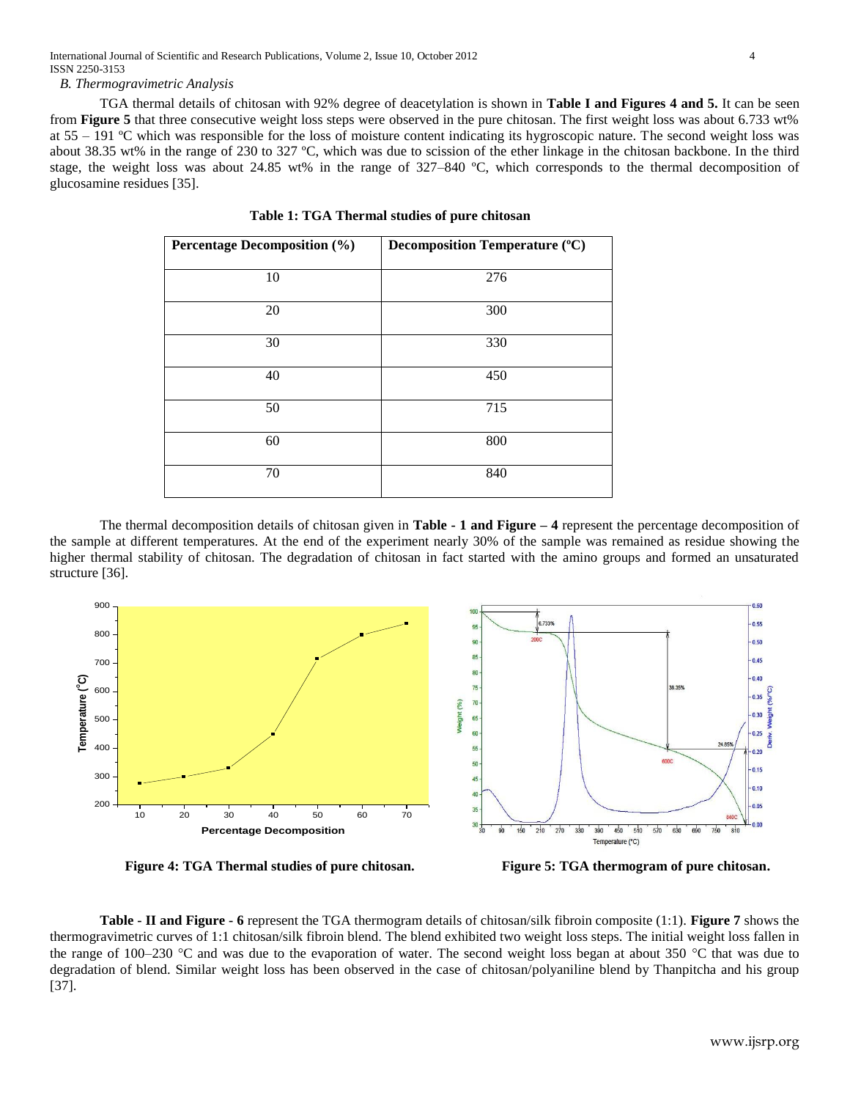*B. Thermogravimetric Analysis*

TGA thermal details of chitosan with 92% degree of deacetylation is shown in **Table I and Figures 4 and 5.** It can be seen from **Figure 5** that three consecutive weight loss steps were observed in the pure chitosan. The first weight loss was about 6.733 wt% at 55 – 191 ºC which was responsible for the loss of moisture content indicating its hygroscopic nature. The second weight loss was about 38.35 wt% in the range of 230 to 327 ºC, which was due to scission of the ether linkage in the chitosan backbone. In the third stage, the weight loss was about 24.85 wt% in the range of 327–840 ºC, which corresponds to the thermal decomposition of glucosamine residues [35].

| <b>Percentage Decomposition (%)</b> | <b>Decomposition Temperature (°C)</b> |
|-------------------------------------|---------------------------------------|
| 10                                  | 276                                   |
| 20                                  | 300                                   |
| 30                                  | 330                                   |
| 40                                  | 450                                   |
| 50                                  | 715                                   |
| 60                                  | 800                                   |
| 70                                  | 840                                   |

 **Table 1: TGA Thermal studies of pure chitosan**

The thermal decomposition details of chitosan given in **Table - 1 and Figure – 4** represent the percentage decomposition of the sample at different temperatures. At the end of the experiment nearly 30% of the sample was remained as residue showing the higher thermal stability of chitosan. The degradation of chitosan in fact started with the amino groups and formed an unsaturated structure [36].



 **Figure 4: TGA Thermal studies of pure chitosan. Figure 5: TGA thermogram of pure chitosan.**

**Table - II and Figure - 6** represent the TGA thermogram details of chitosan/silk fibroin composite (1:1). **Figure 7** shows the thermogravimetric curves of 1:1 chitosan/silk fibroin blend. The blend exhibited two weight loss steps. The initial weight loss fallen in the range of 100–230 °C and was due to the evaporation of water. The second weight loss began at about 350 °C that was due to degradation of blend. Similar weight loss has been observed in the case of chitosan/polyaniline blend by Thanpitcha and his group [37].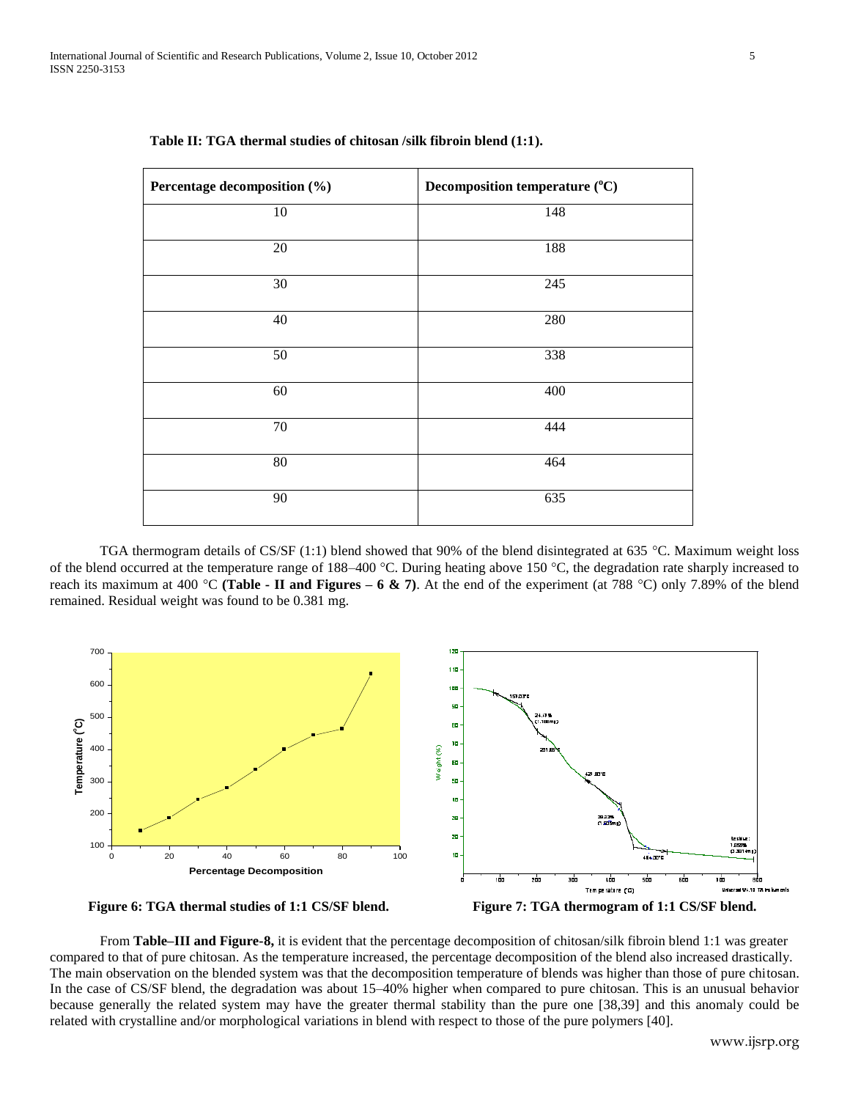| Percentage decomposition (%) | Decomposition temperature (°C) |
|------------------------------|--------------------------------|
| 10                           | 148                            |
| 20                           | 188                            |
| 30                           | 245                            |
| 40                           | 280                            |
| $50\,$                       | 338                            |
| 60                           | 400                            |
| 70                           | 444                            |
| 80                           | 464                            |
| 90                           | 635                            |

| Table II: TGA thermal studies of chitosan /silk fibroin blend (1:1). |
|----------------------------------------------------------------------|
|----------------------------------------------------------------------|

TGA thermogram details of CS/SF (1:1) blend showed that 90% of the blend disintegrated at 635 °C. Maximum weight loss of the blend occurred at the temperature range of 188–400 °C. During heating above 150 °C, the degradation rate sharply increased to reach its maximum at 400 °C (Table - II and Figures –  $6 \& 7$ ). At the end of the experiment (at 788 °C) only 7.89% of the blend remained. Residual weight was found to be 0.381 mg.



 **Figure 6: TGA thermal studies of 1:1 CS/SF blend. Figure 7: TGA thermogram of 1:1 CS/SF blend.**

From **Table–III and Figure-8,** it is evident that the percentage decomposition of chitosan/silk fibroin blend 1:1 was greater compared to that of pure chitosan. As the temperature increased, the percentage decomposition of the blend also increased drastically. The main observation on the blended system was that the decomposition temperature of blends was higher than those of pure chitosan. In the case of CS/SF blend, the degradation was about 15–40% higher when compared to pure chitosan. This is an unusual behavior because generally the related system may have the greater thermal stability than the pure one [38,39] and this anomaly could be related with crystalline and/or morphological variations in blend with respect to those of the pure polymers [40].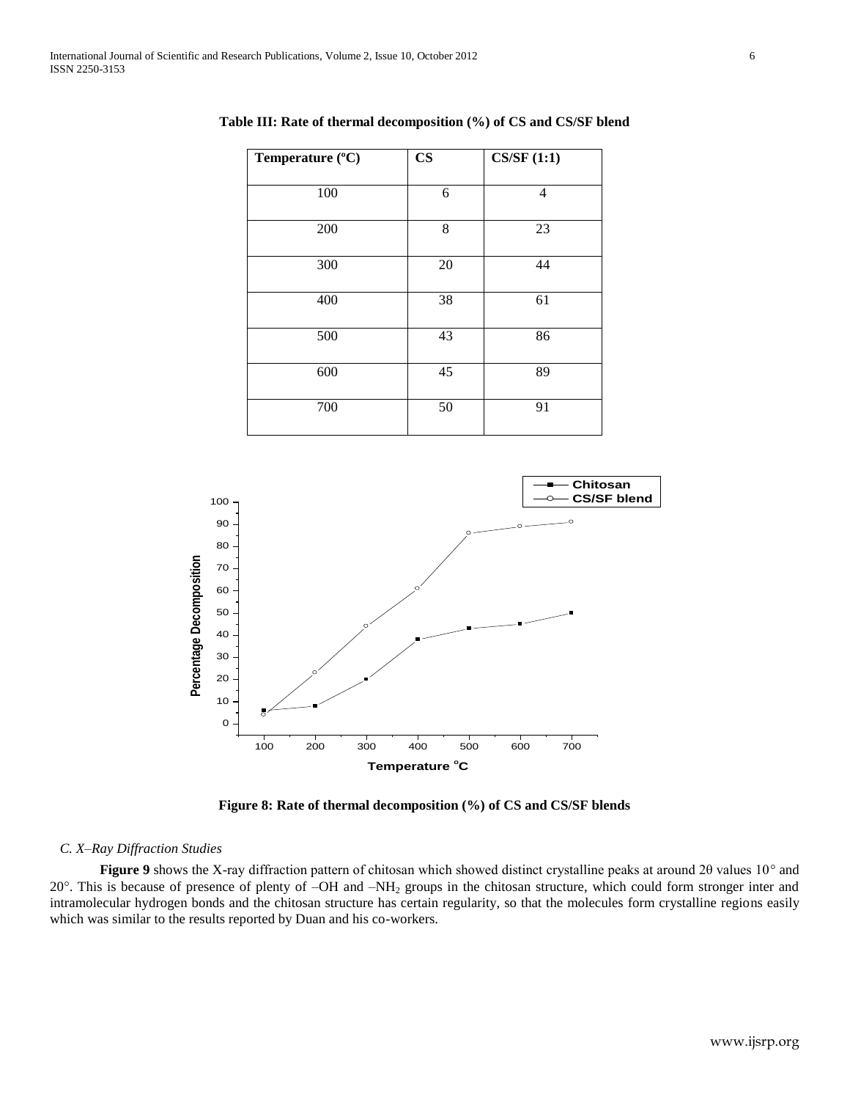| Temperature (°C) | $\mathbf{CS}$ | CS/SF(1:1) |
|------------------|---------------|------------|
|                  |               |            |
| 100              | 6             | 4          |
| 200              | 8             | 23         |
| 300              | 20            | 44         |
| 400              | 38            | 61         |
| 500              | 43            | 86         |
| 600              | 45            | 89         |
| 700              | 50            | 91         |

**Table III: Rate of thermal decomposition (%) of CS and CS/SF blend**



**Figure 8: Rate of thermal decomposition (%) of CS and CS/SF blends**

# *C. X–Ray Diffraction Studies*

Figure 9 shows the X-ray diffraction pattern of chitosan which showed distinct crystalline peaks at around 2θ values 10° and 20. This is because of presence of plenty of –OH and –NH<sup>2</sup> groups in the chitosan structure, which could form stronger inter and intramolecular hydrogen bonds and the chitosan structure has certain regularity, so that the molecules form crystalline regions easily which was similar to the results reported by Duan and his co-workers.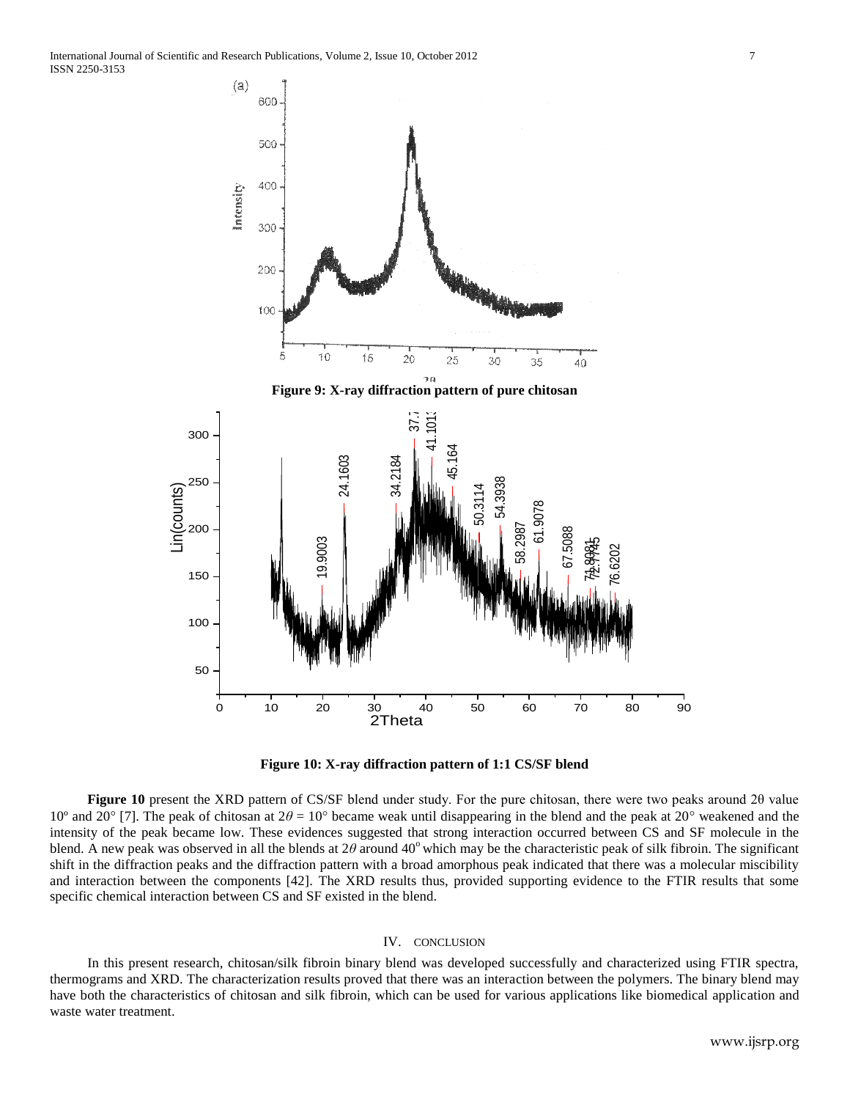



**Figure 10** present the XRD pattern of CS/SF blend under study. For the pure chitosan, there were two peaks around 2θ value 10<sup>°</sup> and 20<sup>°</sup> [7]. The peak of chitosan at  $2\theta = 10$ <sup>°</sup> became weak until disappearing in the blend and the peak at 20<sup>°</sup> weakened and the intensity of the peak became low. These evidences suggested that strong interaction occurred between CS and SF molecule in the blend. A new peak was observed in all the blends at 2θ around 40° which may be the characteristic peak of silk fibroin. The significant shift in the diffraction peaks and the diffraction pattern with a broad amorphous peak indicated that there was a molecular miscibility and interaction between the components [42]. The XRD results thus, provided supporting evidence to the FTIR results that some specific chemical interaction between CS and SF existed in the blend.

#### IV. CONCLUSION

In this present research, chitosan/silk fibroin binary blend was developed successfully and characterized using FTIR spectra, thermograms and XRD. The characterization results proved that there was an interaction between the polymers. The binary blend may have both the characteristics of chitosan and silk fibroin, which can be used for various applications like biomedical application and waste water treatment.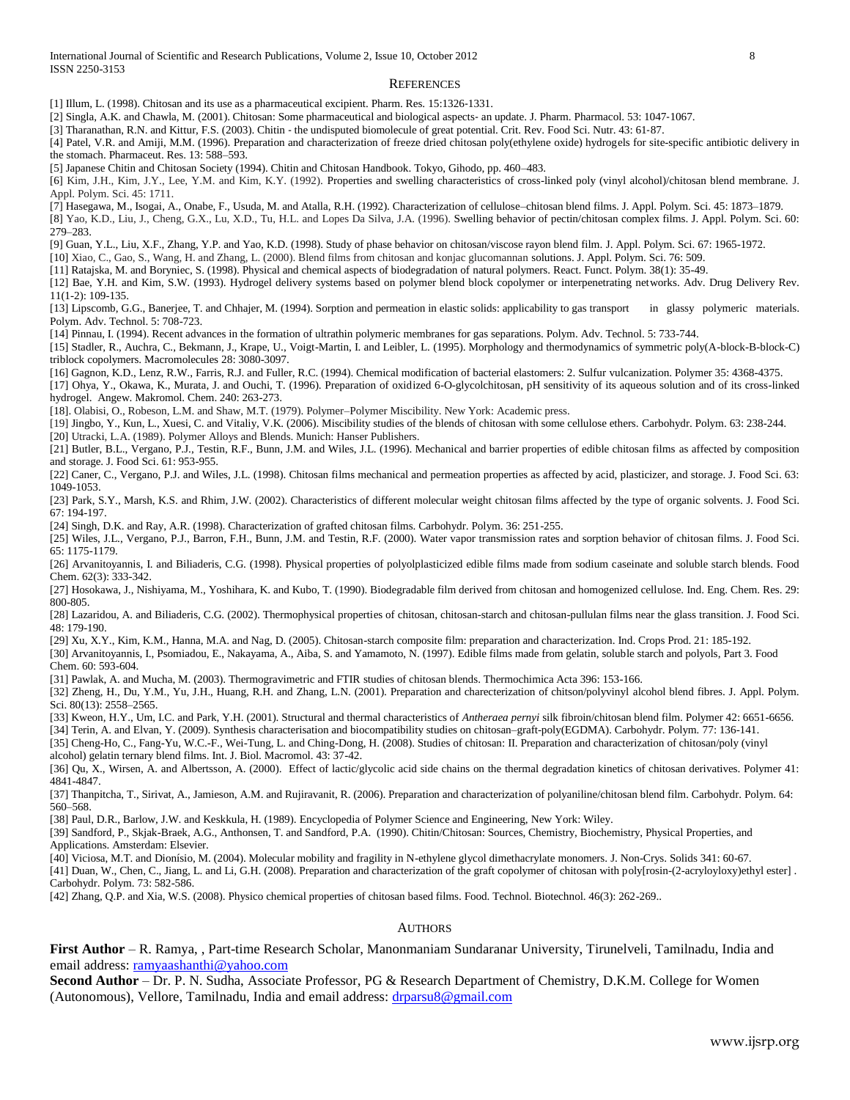#### **REFERENCES**

[1] Illum, L. (1998). Chitosan and its use as a pharmaceutical excipient. Pharm. Res. 15:1326‐1331.

- [2] Singla, A.K. and Chawla, M. (2001). Chitosan: Some pharmaceutical and biological aspects‐ an update. J. Pharm. Pharmacol. 53: 1047‐1067.
- [3] Tharanathan, R.N. and Kittur, F.S. (2003). Chitin ‐ the undisputed biomolecule of great potential. Crit. Rev. Food Sci. Nutr. 43: 61‐87.

[4] Patel, V.R. and Amiji, M.M. (1996). Preparation and characterization of freeze dried chitosan poly(ethylene oxide) hydrogels for site-specific antibiotic delivery in the stomach. Pharmaceut. Res. 13: 588–593.

[5] Japanese Chitin and Chitosan Society (1994). Chitin and Chitosan Handbook. Tokyo, Gihodo, pp. 460–483.

[6] Kim, J.H., Kim, J.Y., Lee, Y.M. and Kim, K.Y. (1992). Properties and swelling characteristics of cross-linked poly (vinyl alcohol)/chitosan blend membrane. J. Appl. Polym. Sci. 45: 1711.

[7] Hasegawa, M., Isogai, A., Onabe, F., Usuda, M. and Atalla, R.H. (1992). Characterization of cellulose–chitosan blend films. J. Appl. Polym. Sci. 45: 1873–1879. [8] Yao, K.D., Liu, J., Cheng, G.X., Lu, X.D., Tu, H.L. and Lopes Da Silva, J.A. (1996). Swelling behavior of pectin/chitosan complex films. J. Appl. Polym. Sci. 60: 279–283.

[9] Guan, Y.L., Liu, X.F., Zhang, Y.P. and Yao, K.D. (1998). Study of phase behavior on chitosan/viscose rayon blend film. J. Appl. Polym. Sci. 67: 1965-1972.

[10] Xiao, C., Gao, S., Wang, H. and Zhang, L. (2000). Blend films from chitosan and konjac glucomannan solutions. J. Appl. Polym. Sci. 76: 509.

[11] Ratajska, M. and Boryniec, S. (1998). Physical and chemical aspects of biodegradation of natural polymers. React. Funct. Polym. 38(1): 35-49.

[12] Bae, Y.H. and Kim, S.W. (1993). Hydrogel delivery systems based on polymer blend block copolymer or interpenetrating networks. Adv. Drug Delivery Rev. 11(1-2): 109-135.

[13] Lipscomb, G.G., Banerjee, T. and Chhajer, M. (1994). Sorption and permeation in elastic solids: applicability to gas transport in glassy polymeric materials. Polym. Adv. Technol. 5: 708-723.

[14] Pinnau, I. (1994). Recent advances in the formation of ultrathin polymeric membranes for gas separations. Polym. Adv. Technol. 5: 733-744.

[15] Stadler, R., Auchra, C., Bekmann, J., Krape, U., Voigt-Martin, I. and Leibler, L. (1995). Morphology and thermodynamics of symmetric poly(A-block-B-block-C) triblock copolymers. Macromolecules 28: 3080-3097.

[16] Gagnon, K.D., Lenz, R.W., Farris, R.J. and Fuller, R.C. (1994). Chemical modification of bacterial elastomers: 2. Sulfur vulcanization. Polymer 35: 4368-4375.

[17] Ohya, Y., Okawa, K., Murata, J. and Ouchi, T. (1996). Preparation of oxidized 6-O-glycolchitosan, pH sensitivity of its aqueous solution and of its cross-linked hydrogel. Angew. Makromol. Chem. 240: 263-273.

[18]. Olabisi, O., Robeson, L.M. and Shaw, M.T. (1979). Polymer–Polymer Miscibility. New York: Academic press.

[19] Jingbo, Y., Kun, L., Xuesi, C. and Vitaliy, V.K. (2006). Miscibility studies of the blends of chitosan with some cellulose ethers. Carbohydr. Polym. 63: 238-244. [20] Utracki, L.A. (1989). Polymer Alloys and Blends. Munich: Hanser Publishers.

[21] Butler, B.L., Vergano, P.J., Testin, R.F., Bunn, J.M. and Wiles, J.L. (1996). Mechanical and barrier properties of edible chitosan films as affected by composition and storage. J. Food Sci. 61: 953-955.

[22] Caner, C., Vergano, P.J. and Wiles, J.L. (1998). Chitosan films mechanical and permeation properties as affected by acid, plasticizer, and storage. J. Food Sci. 63: 1049-1053.

[23] Park, S.Y., Marsh, K.S. and Rhim, J.W. (2002). Characteristics of different molecular weight chitosan films affected by the type of organic solvents. J. Food Sci. 67: 194-197.

[24] Singh, D.K. and Ray, A.R. (1998). Characterization of grafted chitosan films. Carbohydr. Polym. 36: 251-255.

[25] Wiles, J.L., Vergano, P.J., Barron, F.H., Bunn, J.M. and Testin, R.F. (2000). Water vapor transmission rates and sorption behavior of chitosan films. J. Food Sci. 65: 1175-1179.

[26] Arvanitoyannis, I. and Biliaderis, C.G. (1998). Physical properties of polyolplasticized edible films made from sodium caseinate and soluble starch blends. Food Chem. 62(3): 333-342.

[27] Hosokawa, J., Nishiyama, M., Yoshihara, K. and Kubo, T. (1990). Biodegradable film derived from chitosan and homogenized cellulose. Ind. Eng. Chem. Res. 29: 800-805.

[28] Lazaridou, A. and Biliaderis, C.G. (2002). Thermophysical properties of chitosan, chitosan-starch and chitosan-pullulan films near the glass transition. J. Food Sci. 48: 179-190.

[29] Xu, X.Y., Kim, K.M., Hanna, M.A. and Nag, D. (2005). Chitosan-starch composite film: preparation and characterization. Ind. Crops Prod. 21: 185-192.

[30] Arvanitoyannis, I., Psomiadou, E., Nakayama, A., Aiba, S. and Yamamoto, N. (1997). Edible films made from gelatin, soluble starch and polyols, Part 3. Food Chem. 60: 593-604.

[31] Pawlak, A. and Mucha, M. (2003). Thermogravimetric and FTIR studies of chitosan blends. Thermochimica Acta 396: 153-166.

[32] Zheng, H., Du, Y.M., Yu, J.H., Huang, R.H. and Zhang, L.N. (2001). Preparation and charecterization of chitson/polyvinyl alcohol blend fibres. J. Appl. Polym. Sci. 80(13): 2558–2565.

[33] Kweon, H.Y., Um, I.C. and Park, Y.H. (2001). Structural and thermal characteristics of *Antheraea pernyi* silk fibroin/chitosan blend film. Polymer 42: 6651-6656.

[34] Terin, A. and Elvan, Y. (2009). Synthesis characterisation and biocompatibility studies on chitosan–graft-poly(EGDMA). Carbohydr. Polym*.* 77: 136-141.

[35] Cheng-Ho, C., Fang-Yu, W.C.-F., Wei-Tung, L. and Ching-Dong, H. (2008). Studies of chitosan: II. Preparation and characterization of chitosan/poly (vinyl alcohol) gelatin ternary blend films. Int. J. Biol. Macromol. 43: 37-42.

[36] Qu, X., Wirsen, A. and Albertsson, A. (2000). Effect of lactic/glycolic acid side chains on the thermal degradation kinetics of chitosan derivatives. Polymer 41: 4841-4847.

[37] Thanpitcha, T., Sirivat, A., Jamieson, A.M. and Rujiravanit, R. (2006). Preparation and characterization of polyaniline/chitosan blend film. Carbohydr. Polym. 64: 560–568.

[38] Paul, D.R., Barlow, J.W. and Keskkula, H. (1989). Encyclopedia of Polymer Science and Engineering, New York: Wiley.

[39] Sandford, P., Skjak-Braek, A.G., Anthonsen, T. and Sandford, P.A. (1990). Chitin/Chitosan: Sources, Chemistry, Biochemistry, Physical Properties, and Applications. Amsterdam: Elsevier.

[40] Viciosa, M.T. and Dionísio, M. (2004). Molecular mobility and fragility in N-ethylene glycol dimethacrylate monomers. J. Non-Crys. Solids 341: 60-67.

[41] Duan, W., Chen, C., Jiang, L. and Li, G.H. (2008). Preparation and characterization of the graft copolymer of chitosan with poly[rosin-(2-acryloyloxy)ethyl ester] . Carbohydr. Polym. 73: 582-586.

[42] Zhang, Q.P. and Xia, W.S. (2008). Physico chemical properties of chitosan based films. Food. Technol. Biotechnol. 46(3): 262-269..

#### **AUTHORS**

**First Author** – R. Ramya, , Part-time Research Scholar, Manonmaniam Sundaranar University, Tirunelveli, Tamilnadu, India and email address: [ramyaashanthi@yahoo.com](mailto:ramyaashanthi@yahoo.com)

**Second Author** – Dr. P. N. Sudha, Associate Professor, PG & Research Department of Chemistry, D.K.M. College for Women (Autonomous), Vellore, Tamilnadu, India and email address[: drparsu8@gmail.com](mailto:drparsu8@gmail.com)